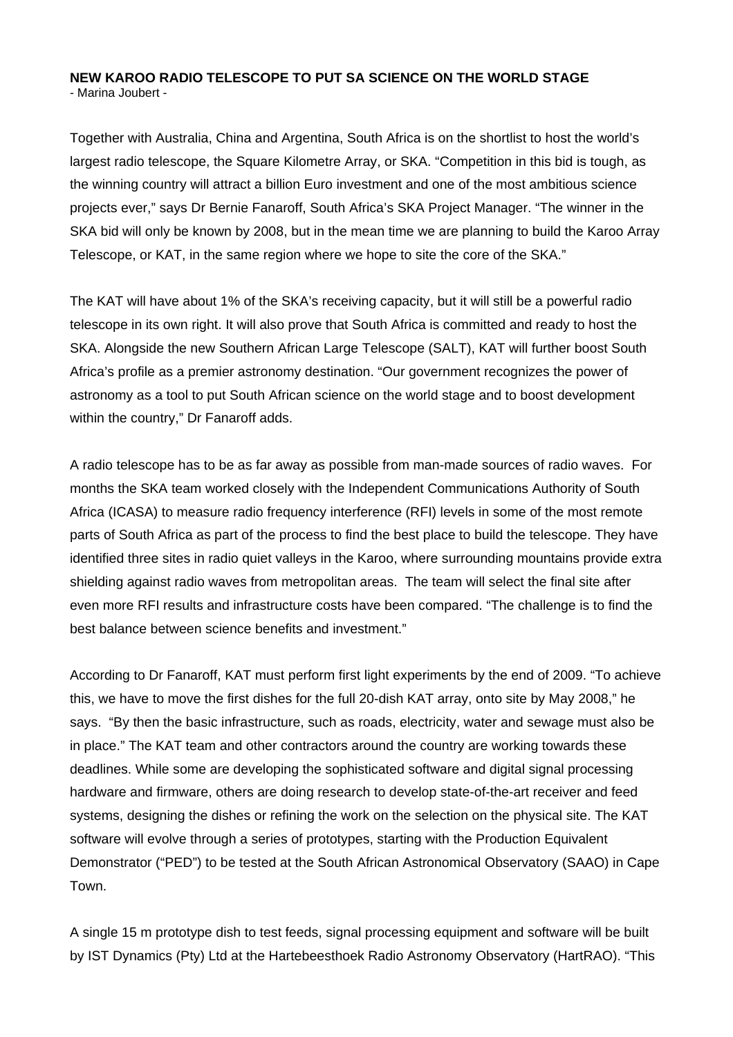## **NEW KAROO RADIO TELESCOPE TO PUT SA SCIENCE ON THE WORLD STAGE**  - Marina Joubert -

Together with Australia, China and Argentina, South Africa is on the shortlist to host the world's largest radio telescope, the Square Kilometre Array, or SKA. "Competition in this bid is tough, as the winning country will attract a billion Euro investment and one of the most ambitious science projects ever," says Dr Bernie Fanaroff, South Africa's SKA Project Manager. "The winner in the SKA bid will only be known by 2008, but in the mean time we are planning to build the Karoo Array Telescope, or KAT, in the same region where we hope to site the core of the SKA."

The KAT will have about 1% of the SKA's receiving capacity, but it will still be a powerful radio telescope in its own right. It will also prove that South Africa is committed and ready to host the SKA. Alongside the new Southern African Large Telescope (SALT), KAT will further boost South Africa's profile as a premier astronomy destination. "Our government recognizes the power of astronomy as a tool to put South African science on the world stage and to boost development within the country," Dr Fanaroff adds.

A radio telescope has to be as far away as possible from man-made sources of radio waves. For months the SKA team worked closely with the Independent Communications Authority of South Africa (ICASA) to measure radio frequency interference (RFI) levels in some of the most remote parts of South Africa as part of the process to find the best place to build the telescope. They have identified three sites in radio quiet valleys in the Karoo, where surrounding mountains provide extra shielding against radio waves from metropolitan areas. The team will select the final site after even more RFI results and infrastructure costs have been compared. "The challenge is to find the best balance between science benefits and investment."

According to Dr Fanaroff, KAT must perform first light experiments by the end of 2009. "To achieve this, we have to move the first dishes for the full 20-dish KAT array, onto site by May 2008," he says. "By then the basic infrastructure, such as roads, electricity, water and sewage must also be in place." The KAT team and other contractors around the country are working towards these deadlines. While some are developing the sophisticated software and digital signal processing hardware and firmware, others are doing research to develop state-of-the-art receiver and feed systems, designing the dishes or refining the work on the selection on the physical site. The KAT software will evolve through a series of prototypes, starting with the Production Equivalent Demonstrator ("PED") to be tested at the South African Astronomical Observatory (SAAO) in Cape Town.

A single 15 m prototype dish to test feeds, signal processing equipment and software will be built by IST Dynamics (Pty) Ltd at the Hartebeesthoek Radio Astronomy Observatory (HartRAO). "This